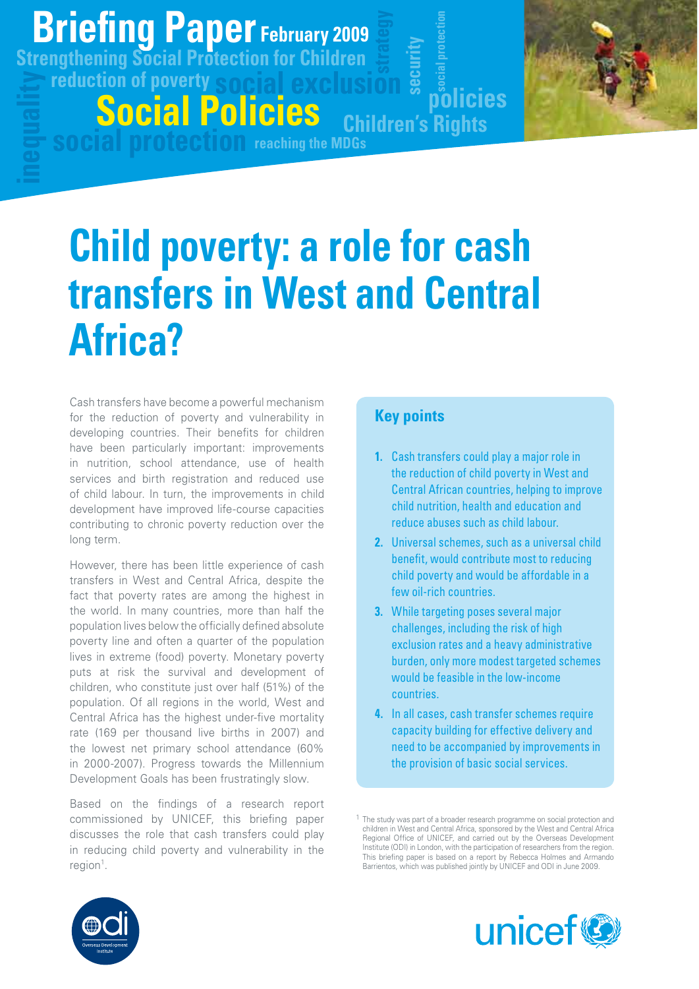## **Briefing Paper g p February 2009**

**reduction of poverty social exclusion Strengthening Social Protection for Children**

**social protection reaching the MDGs**

**Social Policies**



# **Child poverty: a role for cash transfers in West and Central Africa?**

Cash transfers have become a powerful mechanism for the reduction of poverty and vulnerability in developing countries. Their benefits for children have been particularly important: improvements in nutrition, school attendance, use of health services and birth registration and reduced use of child labour. In turn, the improvements in child development have improved life-course capacities contributing to chronic poverty reduction over the long term.

However, there has been little experience of cash transfers in West and Central Africa, despite the fact that poverty rates are among the highest in the world. In many countries, more than half the population lives below the officially defined absolute poverty line and often a quarter of the population lives in extreme (food) poverty. Monetary poverty puts at risk the survival and development of children, who constitute just over half (51%) of the population. Of all regions in the world, West and Central Africa has the highest under-five mortality rate (169 per thousand live births in 2007) and the lowest net primary school attendance (60% in 2000-2007). Progress towards the Millennium Development Goals has been frustratingly slow.

Based on the findings of a research report commissioned by UNICEF, this briefing paper discusses the role that cash transfers could play in reducing child poverty and vulnerability in the region<sup>1</sup>.

### **Key points**

**1.** Cash transfers could play a major role in the reduction of child poverty in West and Central African countries, helping to improve child nutrition, health and education and reduce abuses such as child labour.

**policies**

**securi**

**Children's Rights**

**ty**

**social protection**

- **2.** Universal schemes, such as a universal child benefit, would contribute most to reducing child poverty and would be affordable in a few oil-rich countries.
- **3.** While targeting poses several major challenges, including the risk of high exclusion rates and a heavy administrative burden, only more modest targeted schemes would be feasible in the low-income countries.
- **4.** In all cases, cash transfer schemes require capacity building for effective delivery and need to be accompanied by improvements in the provision of basic social services.





<sup>&</sup>lt;sup>1</sup> The study was part of a broader research programme on social protection and children in West and Central Africa, sponsored by the West and Central Africa Regional Office of UNICEF, and carried out by the Overseas Development Institute (ODI) in London, with the participation of researchers from the region. This briefing paper is based on a report by Rebecca Holmes and Armando Barrientos, which was published jointly by UNICEF and ODI in June 2009.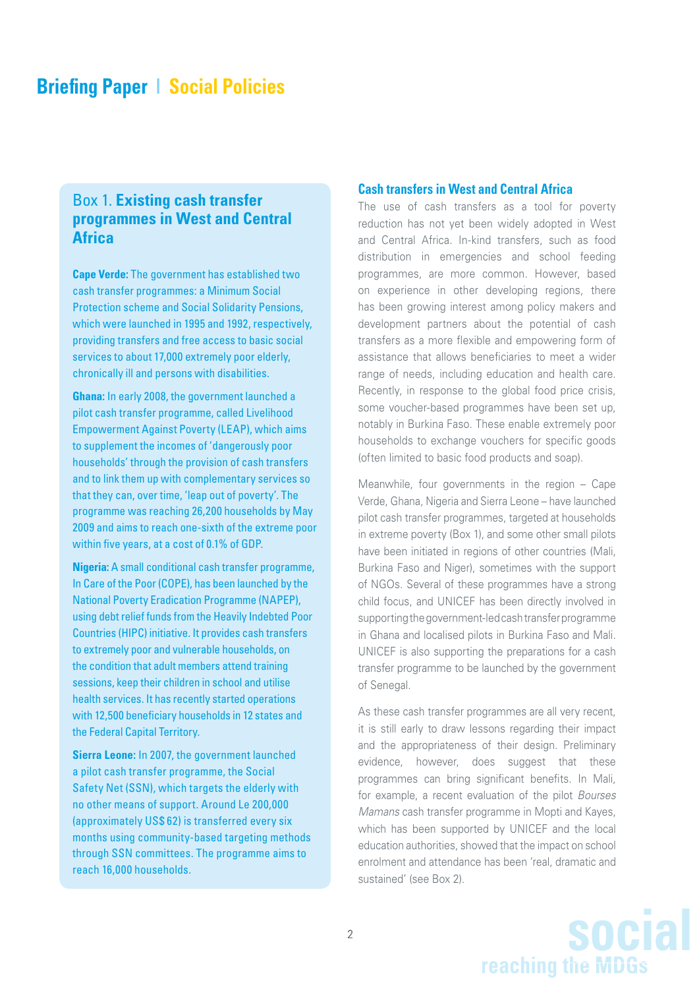#### Box 1. **Existing cash transfer programmes in West and Central Africa**

**Cape Verde:** The government has established two cash transfer programmes: a Minimum Social Protection scheme and Social Solidarity Pensions, which were launched in 1995 and 1992, respectively, providing transfers and free access to basic social services to about 17,000 extremely poor elderly, chronically ill and persons with disabilities.

**Ghana:** In early 2008, the government launched a pilot cash transfer programme, called Livelihood Empowerment Against Poverty (LEAP), which aims to supplement the incomes of 'dangerously poor households' through the provision of cash transfers and to link them up with complementary services so that they can, over time, 'leap out of poverty'. The programme was reaching 26,200 households by May 2009 and aims to reach one-sixth of the extreme poor within five years, at a cost of 0.1% of GDP.

**Nigeria:** A small conditional cash transfer programme, In Care of the Poor (COPE), has been launched by the National Poverty Eradication Programme (NAPEP), using debt relief funds from the Heavily Indebted Poor Countries (HIPC) initiative. It provides cash transfers to extremely poor and vulnerable households, on the condition that adult members attend training sessions, keep their children in school and utilise health services. It has recently started operations with 12,500 beneficiary households in 12 states and the Federal Capital Territory.

**Sierra Leone:** In 2007, the government launched a pilot cash transfer programme, the Social Safety Net (SSN), which targets the elderly with no other means of support. Around Le 200,000 (approximately US\$ 62) is transferred every six months using community-based targeting methods through SSN committees. The programme aims to reach 16,000 households.

#### **Cash transfers in West and Central Africa**

The use of cash transfers as a tool for poverty reduction has not yet been widely adopted in West and Central Africa. In-kind transfers, such as food distribution in emergencies and school feeding programmes, are more common. However, based on experience in other developing regions, there has been growing interest among policy makers and development partners about the potential of cash transfers as a more flexible and empowering form of assistance that allows beneficiaries to meet a wider range of needs, including education and health care. Recently, in response to the global food price crisis, some voucher-based programmes have been set up, notably in Burkina Faso. These enable extremely poor households to exchange vouchers for specific goods (often limited to basic food products and soap).

Meanwhile, four governments in the region – Cape Verde, Ghana, Nigeria and Sierra Leone – have launched pilot cash transfer programmes, targeted at households in extreme poverty (Box 1), and some other small pilots have been initiated in regions of other countries (Mali, Burkina Faso and Niger), sometimes with the support of NGOs. Several of these programmes have a strong child focus, and UNICEF has been directly involved in supporting the government-led cash transfer programme in Ghana and localised pilots in Burkina Faso and Mali. UNICEF is also supporting the preparations for a cash transfer programme to be launched by the government of Senegal.

As these cash transfer programmes are all very recent, it is still early to draw lessons regarding their impact and the appropriateness of their design. Preliminary evidence, however, does suggest that these programmes can bring significant benefits. In Mali, for example, a recent evaluation of the pilot Bourses Mamans cash transfer programme in Mopti and Kayes, which has been supported by UNICEF and the local education authorities, showed that the impact on school enrolment and attendance has been 'real, dramatic and sustained' (see Box 2).

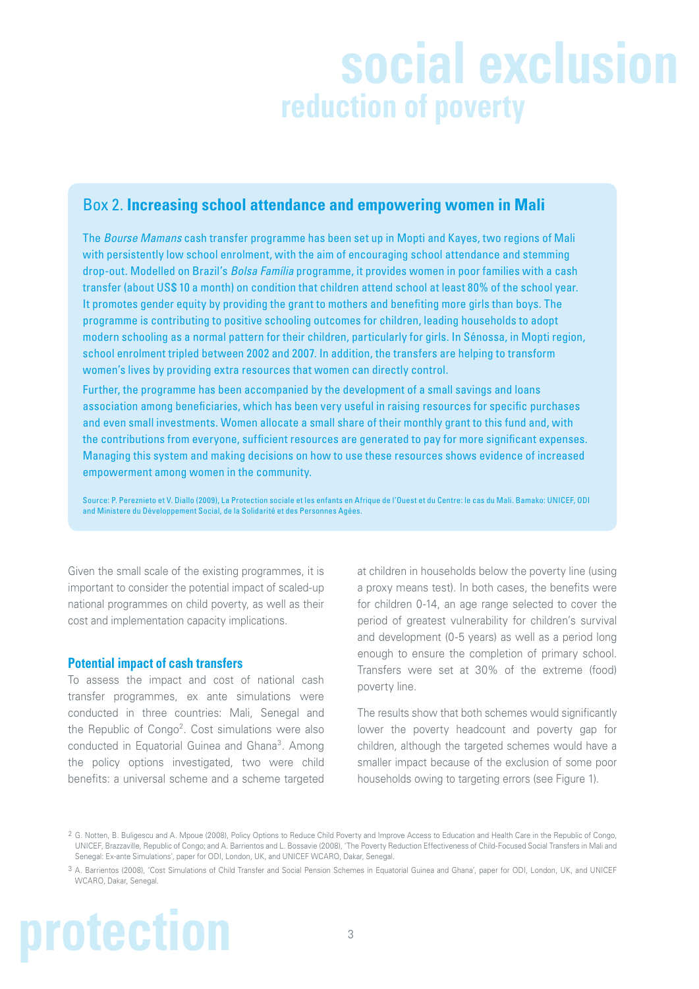# **social exclusion reduction of poverty**

#### Box 2. **Increasing school attendance and empowering women in Mali**

The Bourse Mamans cash transfer programme has been set up in Mopti and Kayes, two regions of Mali with persistently low school enrolment, with the aim of encouraging school attendance and stemming drop-out. Modelled on Brazil's Bolsa Família programme, it provides women in poor families with a cash transfer (about US\$ 10 a month) on condition that children attend school at least 80% of the school year. It promotes gender equity by providing the grant to mothers and benefiting more girls than boys. The programme is contributing to positive schooling outcomes for children, leading households to adopt modern schooling as a normal pattern for their children, particularly for girls. In Sénossa, in Mopti region, school enrolment tripled between 2002 and 2007. In addition, the transfers are helping to transform women's lives by providing extra resources that women can directly control.

Further, the programme has been accompanied by the development of a small savings and loans association among beneficiaries, which has been very useful in raising resources for specific purchases and even small investments. Women allocate a small share of their monthly grant to this fund and, with the contributions from everyone, sufficient resources are generated to pay for more significant expenses. Managing this system and making decisions on how to use these resources shows evidence of increased empowerment among women in the community.

Source: P. Pereznieto et V. Diallo (2009), La Protection sociale et les enfants en Afrique de l'Ouest et du Centre: le cas du Mali. Bamako: UNICEF, ODI and Ministere du Développement Social, de la Solidarité et des Personnes Agées.

Given the small scale of the existing programmes, it is important to consider the potential impact of scaled-up national programmes on child poverty, as well as their cost and implementation capacity implications.

#### **Potential impact of cash transfers**

To assess the impact and cost of national cash transfer programmes, ex ante simulations were conducted in three countries: Mali, Senegal and the Republic of Congo<sup>2</sup>. Cost simulations were also conducted in Equatorial Guinea and Ghana<sup>3</sup>. Among the policy options investigated, two were child benefits: a universal scheme and a scheme targeted

at children in households below the poverty line (using a proxy means test). In both cases, the benefits were for children 0-14, an age range selected to cover the period of greatest vulnerability for children's survival and development (0-5 years) as well as a period long enough to ensure the completion of primary school. Transfers were set at 30% of the extreme (food) poverty line.

The results show that both schemes would significantly lower the poverty headcount and poverty gap for children, although the targeted schemes would have a smaller impact because of the exclusion of some poor households owing to targeting errors (see Figure 1).

# **protection**

<sup>2</sup> G. Notten, B. Buligescu and A. Mpoue (2008), Policy Options to Reduce Child Poverty and Improve Access to Education and Health Care in the Republic of Congo, UNICEF, Brazzaville, Republic of Congo; and A. Barrientos and L. Bossavie (2008), 'The Poverty Reduction Effectiveness of Child-Focused Social Transfers in Mali and Senegal: Ex-ante Simulations', paper for ODI, London, UK, and UNICEF WCARO, Dakar, Senegal.

<sup>3</sup> A. Barrientos (2008), 'Cost Simulations of Child Transfer and Social Pension Schemes in Equatorial Guinea and Ghana', paper for ODI, London, UK, and UNICEF WCARO, Dakar, Senegal.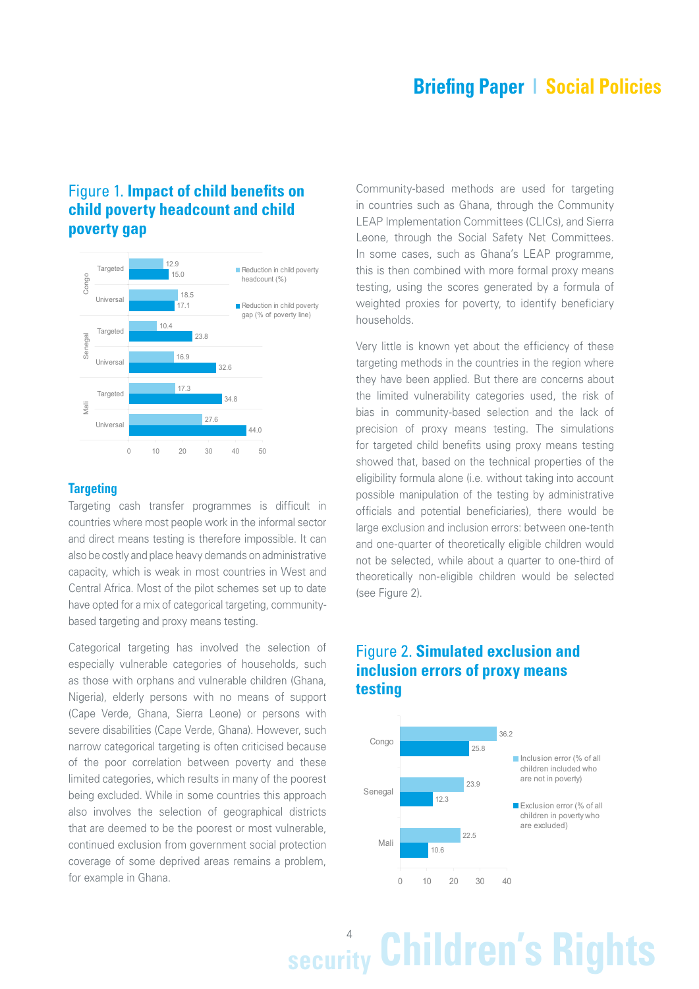#### Figure 1. **Impact of child benefits on child poverty headcount and child poverty gap**



#### **Targeting**

Targeting cash transfer programmes is difficult in countries where most people work in the informal sector and direct means testing is therefore impossible. It can also be costly and place heavy demands on administrative capacity, which is weak in most countries in West and Central Africa. Most of the pilot schemes set up to date have opted for a mix of categorical targeting, communitybased targeting and proxy means testing.

Categorical targeting has involved the selection of especially vulnerable categories of households, such as those with orphans and vulnerable children (Ghana, Nigeria), elderly persons with no means of support (Cape Verde, Ghana, Sierra Leone) or persons with severe disabilities (Cape Verde, Ghana). However, such narrow categorical targeting is often criticised because of the poor correlation between poverty and these limited categories, which results in many of the poorest being excluded. While in some countries this approach also involves the selection of geographical districts that are deemed to be the poorest or most vulnerable, continued exclusion from government social protection coverage of some deprived areas remains a problem, for example in Ghana.

Community-based methods are used for targeting in countries such as Ghana, through the Community LEAP Implementation Committees (CLICs), and Sierra Leone, through the Social Safety Net Committees. In some cases, such as Ghana's LEAP programme, this is then combined with more formal proxy means testing, using the scores generated by a formula of weighted proxies for poverty, to identify beneficiary households.

Very little is known yet about the efficiency of these targeting methods in the countries in the region where they have been applied. But there are concerns about the limited vulnerability categories used, the risk of bias in community-based selection and the lack of precision of proxy means testing. The simulations for targeted child benefits using proxy means testing showed that, based on the technical properties of the eligibility formula alone (i.e. without taking into account possible manipulation of the testing by administrative officials and potential beneficiaries), there would be large exclusion and inclusion errors: between one-tenth and one-quarter of theoretically eligible children would not be selected, while about a quarter to one-third of theoretically non-eligible children would be selected (see Figure 2).

#### Figure 2. **Simulated exclusion and inclusion errors of proxy means testing**



# 4 **security Children's Rights**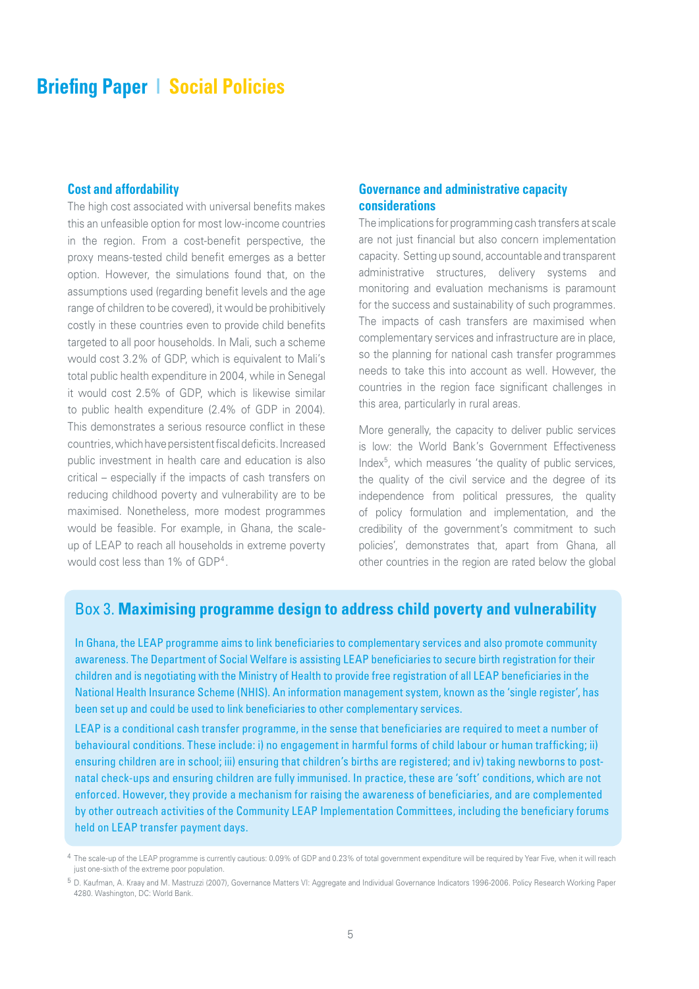#### **Cost and affordability**

The high cost associated with universal benefits makes this an unfeasible option for most low-income countries in the region. From a cost-benefit perspective, the proxy means-tested child benefit emerges as a better option. However, the simulations found that, on the assumptions used (regarding benefit levels and the age range of children to be covered), it would be prohibitively costly in these countries even to provide child benefits targeted to all poor households. In Mali, such a scheme would cost 3.2% of GDP, which is equivalent to Mali's total public health expenditure in 2004, while in Senegal it would cost 2.5% of GDP, which is likewise similar to public health expenditure (2.4% of GDP in 2004). This demonstrates a serious resource conflict in these countries, which have persistent fiscal deficits. Increased public investment in health care and education is also critical – especially if the impacts of cash transfers on reducing childhood poverty and vulnerability are to be maximised. Nonetheless, more modest programmes would be feasible. For example, in Ghana, the scaleup of LEAP to reach all households in extreme poverty would cost less than 1% of GDP<sup>4</sup>.

#### **Governance and administrative capacity considerations**

The implications for programming cash transfers at scale are not just financial but also concern implementation capacity. Setting up sound, accountable and transparent administrative structures, delivery systems and monitoring and evaluation mechanisms is paramount for the success and sustainability of such programmes. The impacts of cash transfers are maximised when complementary services and infrastructure are in place, so the planning for national cash transfer programmes needs to take this into account as well. However, the countries in the region face significant challenges in this area, particularly in rural areas.

More generally, the capacity to deliver public services is low: the World Bank's Government Effectiveness Index<sup>5</sup>, which measures 'the quality of public services, the quality of the civil service and the degree of its independence from political pressures, the quality of policy formulation and implementation, and the credibility of the government's commitment to such policies', demonstrates that, apart from Ghana, all other countries in the region are rated below the global

#### Box 3. **Maximising programme design to address child poverty and vulnerability**

In Ghana, the LEAP programme aims to link beneficiaries to complementary services and also promote community awareness. The Department of Social Welfare is assisting LEAP beneficiaries to secure birth registration for their children and is negotiating with the Ministry of Health to provide free registration of all LEAP beneficiaries in the National Health Insurance Scheme (NHIS). An information management system, known as the 'single register', has been set up and could be used to link beneficiaries to other complementary services.

LEAP is a conditional cash transfer programme, in the sense that beneficiaries are required to meet a number of behavioural conditions. These include: i) no engagement in harmful forms of child labour or human trafficking; ii) ensuring children are in school; iii) ensuring that children's births are registered; and iv) taking newborns to postnatal check-ups and ensuring children are fully immunised. In practice, these are 'soft' conditions, which are not enforced. However, they provide a mechanism for raising the awareness of beneficiaries, and are complemented by other outreach activities of the Community LEAP Implementation Committees, including the beneficiary forums held on LEAP transfer payment days.

<sup>4</sup> The scale-up of the LEAP programme is currently cautious: 0.09% of GDP and 0.23% of total government expenditure will be required by Year Five, when it will reach just one-sixth of the extreme poor population.

<sup>5</sup> D. Kaufman, A. Kraay and M. Mastruzzi (2007), Governance Matters VI: Aggregate and Individual Governance Indicators 1996-2006. Policy Research Working Paper 4280. Washington, DC: World Bank.